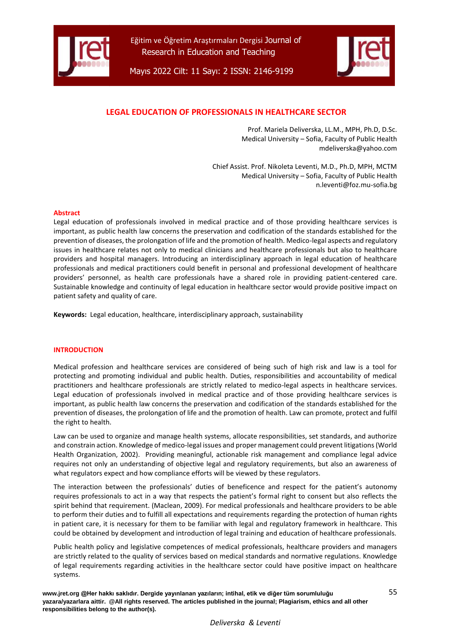



Mayıs 2022 Cilt: 11 Sayı: 2 ISSN: 2146-9199

# **LEGAL EDUCATION OF PROFESSIONALS IN HEALTHCARE SECTOR**

Prof. Mariela Deliverska, LL.M., MPH, Ph.D, D.Sc. Medical University – Sofia, Faculty of Public Health mdeliverska@yahoo.com

Chief Assist. Prof. Nikoleta Leventi, M.D., Ph.D, MPH, MCTM Medical University – Sofia, Faculty of Public Health n.leventi@foz.mu-sofia.bg

#### **Abstract**

Legal education of professionals involved in medical practice and of those providing healthcare services is important, as public health law concerns the preservation and codification of the standards established for the prevention of diseases, the prolongation of life and the promotion of health. Medico-legal aspects and regulatory issues in healthcare relates not only to medical clinicians and healthcare professionals but also to healthcare providers and hospital managers. Introducing an interdisciplinary approach in legal education of healthcare professionals and medical practitioners could benefit in personal and professional development of healthcare providers' personnel, as health care professionals have a shared role in providing patient-centered care. Sustainable knowledge and continuity of legal education in healthcare sector would provide positive impact on patient safety and quality of care.

**Keywords:** Legal education, healthcare, interdisciplinary approach, sustainability

### **INTRODUCTION**

Medical profession and healthcare services are considered of being such of high risk and law is a tool for protecting and promoting individual and public health. Duties, responsibilities and accountability of medical practitioners and healthcare professionals are strictly related to medico-legal aspects in healthcare services. Legal education of professionals involved in medical practice and of those providing healthcare services is important, as public health law concerns the preservation and codification of the standards established for the prevention of diseases, the prolongation of life and the promotion of health. Law can promote, protect and fulfil the right to health.

Law can be used to organize and manage health systems, allocate responsibilities, set standards, and authorize and constrain action. Knowledge of medico-legal issues and proper management could prevent litigations (World Health Organization, 2002). Providing meaningful, actionable risk management and compliance legal advice requires not only an understanding of objective legal and regulatory requirements, but also an awareness of what regulators expect and how compliance efforts will be viewed by these regulators.

The interaction between the professionals' duties of beneficence and respect for the patient's autonomy requires professionals to act in a way that respects the patient's formal right to consent but also reflects the spirit behind that requirement. (Maclean, 2009). For medical professionals and healthcare providers to be able to perform their duties and to fulfill all expectations and requirements regarding the protection of human rights in patient care, it is necessary for them to be familiar with legal and regulatory framework in healthcare. This could be obtained by development and introduction of legal training and education of healthcare professionals.

Public health policy and legislative competences of medical professionals, healthcare providers and managers are strictly related to the quality of services based on medical standards and normative regulations. Knowledge of legal requirements regarding activities in the healthcare sector could have positive impact on healthcare systems.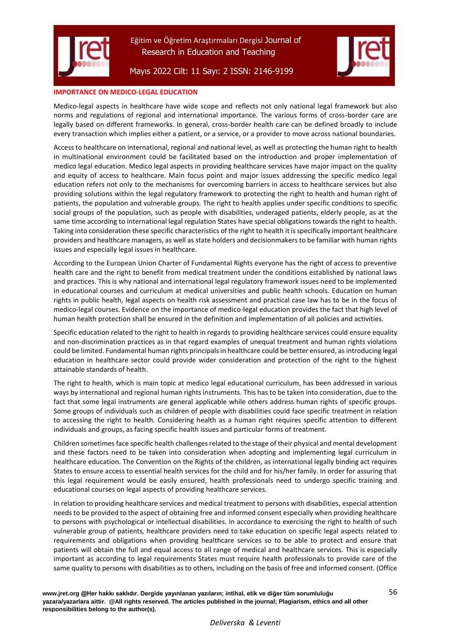

Mayıs 2022 Cilt: 11 Sayı: 2 ISSN: 2146-9199



### **IMPORTANCE ON MEDICO-LEGAL EDUCATION**

Medico-legal aspects in healthcare have wide scope and reflects not only national legal framework but also norms and regulations of regional and international importance. The various forms of cross-border care are legally based on different frameworks. In general, cross-border health care can be defined broadly to include every transaction which implies either a patient, or a service, or a provider to move across national boundaries.

Access to healthcare on international, regional and national level, as well as protecting the human right to health in multinational environment could be facilitated based on the introduction and proper implementation of medico legal education. Medico legal aspects in providing healthcare services have major impact on the quality and equity of access to healthcare. Main focus point and major issues addressing the specific medico legal education refers not only to the mechanisms for overcoming barriers in access to healthcare services but also providing solutions within the legal regulatory framework to protecting the right to health and human right of patients, the population and vulnerable groups. The right to health applies under specific conditions to specific social groups of the population, such as people with disabilities, underaged patients, elderly people, as at the same time according to international legal regulation States have special obligations towards the right to health. Taking into consideration these specific characteristics of the right to health it is specifically important healthcare providers and healthcare managers, as well as state holders and decisionmakers to be familiar with human rights issues and especially legal issues in healthcare.

According to the European Union Charter of Fundamental Rights everyone has the right of access to preventive health care and the right to benefit from medical treatment under the conditions established by national laws and practices. This is why national and international legal regulatory framework issues need to be implemented in educational courses and curriculum at medical universities and public health schools. Education on human rights in public health, legal aspects on health risk assessment and practical case law has to be in the focus of medico-legal courses. Evidence on the importance of medico-legal education provides the fact that high level of human health protection shall be ensured in the definition and implementation of all policies and activities.

Specific education related to the right to health in regards to providing healthcare services could ensure equality and non-discrimination practices as in that regard examples of unequal treatment and human rights violations could be limited. Fundamental human rights principals in healthcare could be better ensured, as introducing legal education in healthcare sector could provide wider consideration and protection of the right to the highest attainable standards of health.

The right to health, which is main topic at medico legal educational curriculum, has been addressed in various ways by international and regional human rights instruments. This has to be taken into consideration, due to the fact that some legal instruments are general applicable while others address human rights of specific groups. Some groups of individuals such as children of people with disabilities could face specific treatment in relation to accessing the right to health. Considering health as a human right requires specific attention to different individuals and groups, as facing specific health issues and particular forms of treatment.

Children sometimes face specific health challenges related to the stage of their physical and mental development and these factors need to be taken into consideration when adopting and implementing legal curriculum in healthcare education. The Convention on the Rights of the children, as international legally binding act requires States to ensure access to essential health services for the child and for his/her family. In order for assuring that this legal requirement would be easily ensured, health professionals need to undergo specific training and educational courses on legal aspects of providing healthcare services.

In relation to providing healthcare services and medical treatment to persons with disabilities, especial attention needs to be provided to the aspect of obtaining free and informed consent especially when providing healthcare to persons with psychological or intellectual disabilities. In accordance to exercising the right to health of such vulnerable group of patients, healthcare providers need to take education on specific legal aspects related to requirements and obligations when providing healthcare services so to be able to protect and ensure that patients will obtain the full and equal access to all range of medical and healthcare services. This is especially important as according to legal requirements States must require health professionals to provide care of the same quality to persons with disabilities as to others, including on the basis of free and informed consent. (Office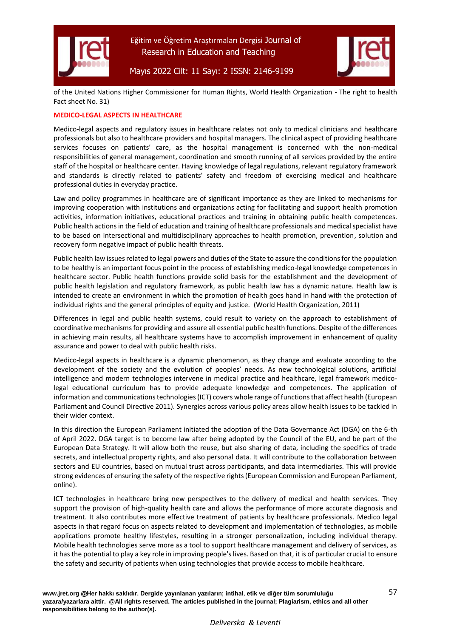



## Mayıs 2022 Cilt: 11 Sayı: 2 ISSN: 2146-9199

of the United Nations Higher Commissioner for Human Rights, World Health Organization - The right to health Fact sheet No. 31)

### **MEDICO-LEGAL ASPECTS IN HEALTHCARE**

Medico-legal aspects and regulatory issues in healthcare relates not only to medical clinicians and healthcare professionals but also to healthcare providers and hospital managers. The clinical aspect of providing healthcare services focuses on patients' care, as the hospital management is concerned with the non-medical responsibilities of general management, coordination and smooth running of all services provided by the entire staff of the hospital or healthcare center. Having knowledge of legal regulations, relevant regulatory framework and standards is directly related to patients' safety and freedom of exercising medical and healthcare professional duties in everyday practice.

Law and policy programmes in healthcare are of significant importance as they are linked to mechanisms for improving cooperation with institutions and organizations acting for facilitating and support health promotion activities, information initiatives, educational practices and training in obtaining public health competences. Public health actions in the field of education and training of healthcare professionals and medical specialist have to be based on intersectional and multidisciplinary approaches to health promotion, prevention, solution and recovery form negative impact of public health threats.

Public health law issues related to legal powers and duties of the State to assure the conditions for the population to be healthy is an important focus point in the process of establishing medico-legal knowledge competences in healthcare sector. Public health functions provide solid basis for the establishment and the development of public health legislation and regulatory framework, as public health law has a dynamic nature. Health law is intended to create an environment in which the promotion of health goes hand in hand with the protection of individual rights and the general principles of equity and justice. (World Health Organization, 2011)

Differences in legal and public health systems, could result to variety on the approach to establishment of coordinative mechanisms for providing and assure all essential public health functions. Despite of the differences in achieving main results, all healthcare systems have to accomplish improvement in enhancement of quality assurance and power to deal with public health risks.

Medico-legal aspects in healthcare is a dynamic phenomenon, as they change and evaluate according to the development of the society and the evolution of peoples' needs. As new technological solutions, artificial intelligence and modern technologies intervene in medical practice and healthcare, legal framework medicolegal educational curriculum has to provide adequate knowledge and competences. The application of information and communications technologies (ICT) covers whole range of functions that affect health (European Parliament and Council Directive 2011). Synergies across various policy areas allow health issues to be tackled in their wider context.

In this direction the European Parliament initiated the adoption of the Data Governance Act (DGA) on the 6-th of April 2022. DGA target is to become law after being adopted by the Council of the EU, and be part of the European Data Strategy. It will allow both the reuse, but also sharing of data, including the specifics of trade secrets, and intellectual property rights, and also personal data. It will contribute to the collaboration between sectors and EU countries, based on mutual trust across participants, and data intermediaries. This will provide strong evidences of ensuring the safety of the respective rights (European Commission and European Parliament, online).

ICT technologies in healthcare bring new perspectives to the delivery of medical and health services. They support the provision of high-quality health care and allows the performance of more accurate diagnosis and treatment. It also contributes more effective treatment of patients by healthcare professionals. Medico legal aspects in that regard focus on aspects related to development and implementation of technologies, as mobile applications promote healthy lifestyles, resulting in a stronger personalization, including individual therapy. Mobile health technologies serve more as a tool to support healthcare management and delivery of services, as it has the potential to play a key role in improving people's lives. Based on that, it is of particular crucial to ensure the safety and security of patients when using technologies that provide access to mobile healthcare.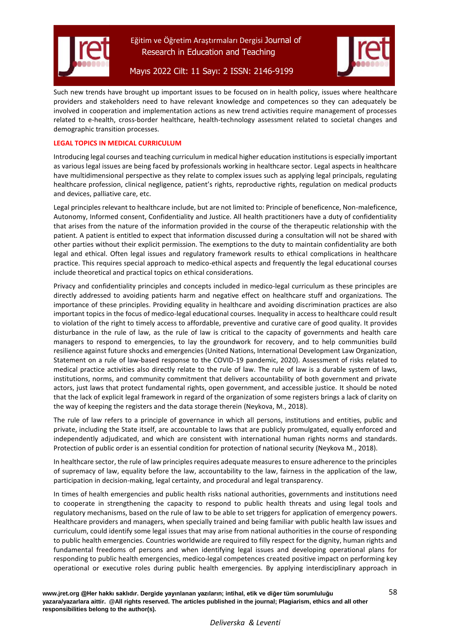

Such new trends have brought up important issues to be focused on in health policy, issues where healthcare providers and stakeholders need to have relevant knowledge and competences so they can adequately be involved in cooperation and implementation actions as new trend activities require management of processes related to e-health, cross-border healthcare, health-technology assessment related to societal changes and demographic transition processes.

### **LEGAL TOPICS IN MEDICAL CURRICULUM**

Introducing legal courses and teaching curriculum in medical higher education institutions is especially important as various legal issues are being faced by professionals working in healthcare sector. Legal aspects in healthcare have multidimensional perspective as they relate to complex issues such as applying legal principals, regulating healthcare profession, clinical negligence, patient's rights, reproductive rights, regulation on medical products and devices, palliative care, etc.

Legal principles relevant to healthcare include, but are not limited to: Principle of beneficence, Non-maleficence, Autonomy, Informed consent, Confidentiality and Justice. All health practitioners have a duty of confidentiality that arises from the nature of the information provided in the course of the therapeutic relationship with the patient. A patient is entitled to expect that information discussed during a consultation will not be shared with other parties without their explicit permission. The exemptions to the duty to maintain confidentiality are both legal and ethical. Often legal issues and regulatory framework results to ethical complications in healthcare practice. This requires special approach to medico-ethical aspects and frequently the legal educational courses include theoretical and practical topics on ethical considerations.

Privacy and confidentiality principles and concepts included in medico-legal curriculum as these principles are directly addressed to avoiding patients harm and negative effect on healthcare stuff and organizations. The importance of these principles. Providing equality in healthcare and avoiding discrimination practices are also important topics in the focus of medico-legal educational courses. Inequality in access to healthcare could result to violation of the right to timely access to affordable, preventive and curative care of good quality. It provides disturbance in the rule of law, as the rule of law is critical to the capacity of governments and health care managers to respond to emergencies, to lay the groundwork for recovery, and to help communities build resilience against future shocks and emergencies (United Nations, International Development Law Organization, Statement on a rule of law-based response to the COVID-19 pandemic, 2020). Assessment of risks related to medical practice activities also directly relate to the rule of law. The rule of law is a durable system of laws, institutions, norms, and community commitment that delivers accountability of both government and private actors, just laws that protect fundamental rights, open government, and accessible justice. It should be noted that the lack of explicit legal framework in regard of the organization of some registers brings a lack of clarity on the way of keeping the registers and the data storage therein (Neykova, M., 2018).

The rule of law refers to a principle of governance in which all persons, institutions and entities, public and private, including the State itself, are accountable to laws that are publicly promulgated, equally enforced and independently adjudicated, and which are consistent with international human rights norms and standards. Protection of public order is an essential condition for protection of national security (Neykova M., 2018).

In healthcare sector, the rule of law principles requires adequate measures to ensure adherence to the principles of supremacy of law, equality before the law, accountability to the law, fairness in the application of the law, participation in decision-making, legal certainty, and procedural and legal transparency.

In times of health emergencies and public health risks national authorities, governments and institutions need to cooperate in strengthening the capacity to respond to public health threats and using legal tools and regulatory mechanisms, based on the rule of law to be able to set triggers for application of emergency powers. Healthcare providers and managers, when specially trained and being familiar with public health law issues and curriculum, could identify some legal issues that may arise from national authorities in the course of responding to public health emergencies. Countries worldwide are required to filly respect for the dignity, human rights and fundamental freedoms of persons and when identifying legal issues and developing operational plans for responding to public health emergencies, medico-legal competences created positive impact on performing key operational or executive roles during public health emergencies. By applying interdisciplinary approach in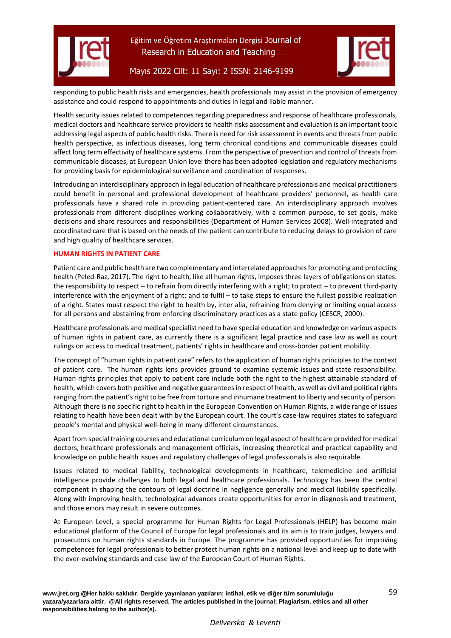



Mayıs 2022 Cilt: 11 Sayı: 2 ISSN: 2146-9199

responding to public health risks and emergencies, health professionals may assist in the provision of emergency assistance and could respond to appointments and duties in legal and liable manner.

Health security issues related to competences regarding preparedness and response of healthcare professionals, medical doctors and healthcare service providers to health risks assessment and evaluation is an important topic addressing legal aspects of public health risks. There is need for risk assessment in events and threats from public health perspective, as infectious diseases, long term chronical conditions and communicable diseases could affect long term effectivity of healthcare systems. From the perspective of prevention and control of threats from communicable diseases, at European Union level there has been adopted legislation and regulatory mechanisms for providing basis for epidemiological surveillance and coordination of responses.

Introducing an interdisciplinary approach in legal education of healthcare professionals and medical practitioners could benefit in personal and professional development of healthcare providers' personnel, as health care professionals have a shared role in providing patient-centered care. An interdisciplinary approach involves professionals from different disciplines working collaboratively, with a common purpose, to set goals, make decisions and share resources and responsibilities (Department of Human Services 2008). Well-integrated and coordinated care that is based on the needs of the patient can contribute to reducing delays to provision of care and high quality of healthcare services.

### **HUMAN RIGHTS IN PATIENT CARE**

Patient care and public health are two complementary and interrelated approaches for promoting and protecting health (Peled-Raz, 2017). The right to health, like all human rights, imposes three layers of obligations on states: the responsibility to respect – to refrain from directly interfering with a right; to protect – to prevent third-party interference with the enjoyment of a right; and to fulfil – to take steps to ensure the fullest possible realization of a right. States must respect the right to health by, inter alia, refraining from denying or limiting equal access for all persons and abstaining from enforcing discriminatory practices as a state policy (CESCR, 2000).

Healthcare professionals and medical specialist need to have special education and knowledge on various aspects of human rights in patient care, as currently there is a significant legal practice and case law as well as court rulings on access to medical treatment, patients' rights in healthcare and cross-border patient mobility.

The concept of "human rights in patient care" refers to the application of human rights principles to the context of patient care. The human rights lens provides ground to examine systemic issues and state responsibility. Human rights principles that apply to patient care include both the right to the highest attainable standard of health, which covers both positive and negative guarantees in respect of health, as well as civil and political rights ranging from the patient's right to be free from torture and inhumane treatment to liberty and security of person. Although there is no specific right to health in the European Convention on Human Rights, a wide range of issues relating to health have been dealt with by the European court. The court's case-law requires states to safeguard people's mental and physical well-being in many different circumstances.

Apart from special training courses and educational curriculum on legal aspect of healthcare provided for medical doctors, healthcare professionals and management officials, increasing theoretical and practical capability and knowledge on public health issues and regulatory challenges of legal professionals is also requirable.

Issues related to medical liability, technological developments in healthcare, telemedicine and artificial intelligence provide challenges to both legal and healthcare professionals. Technology has been the central component in shaping the contours of legal doctrine in negligence generally and medical liability specifically. Along with improving health, technological advances create opportunities for error in diagnosis and treatment, and those errors may result in severe outcomes.

At European Level, a special programme for Human Rights for Legal Professionals (HELP) has become main educational platform of the Council of Europe for legal professionals and its aim is to train judges, lawyers and prosecutors on human rights standards in Europe. The programme has provided opportunities for improving competences for legal professionals to better protect human rights on a national level and keep up to date with the ever-evolving standards and case law of the European Court of Human Rights.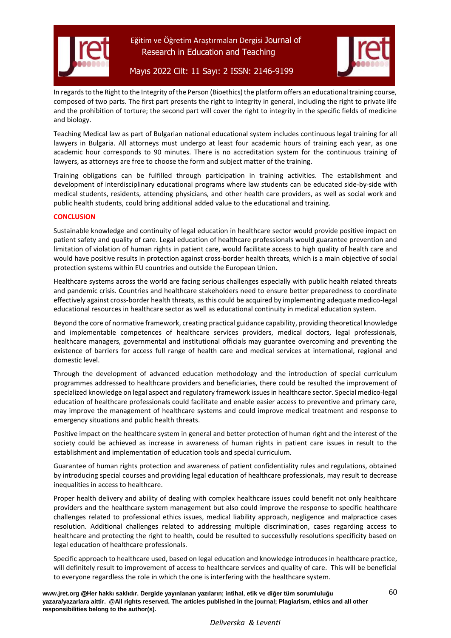



## Mayıs 2022 Cilt: 11 Sayı: 2 ISSN: 2146-9199

In regards to the Right to the Integrity of the Person (Bioethics) the platform offers an educational training course, composed of two parts. The first part presents the right to integrity in general, including the right to private life and the prohibition of torture; the second part will cover the right to integrity in the specific fields of medicine and biology.

Teaching Medical law as part of Bulgarian national educational system includes continuous legal training for all lawyers in Bulgaria. All attorneys must undergo at least four academic hours of training each year, as one academic hour corresponds to 90 minutes. There is no accreditation system for the continuous training of lawyers, as attorneys are free to choose the form and subject matter of the training.

Training obligations can be fulfilled through participation in training activities. The establishment and development of interdisciplinary educational programs where law students can be educated side-by-side with medical students, residents, attending physicians, and other health care providers, as well as social work and public health students, could bring additional added value to the educational and training.

### **CONCLUSION**

Sustainable knowledge and continuity of legal education in healthcare sector would provide positive impact on patient safety and quality of care. Legal education of healthcare professionals would guarantee prevention and limitation of violation of human rights in patient care, would facilitate access to high quality of health care and would have positive results in protection against cross-border health threats, which is a main objective of social protection systems within EU countries and outside the European Union.

Healthcare systems across the world are facing serious challenges especially with public health related threats and pandemic crisis. Countries and healthcare stakeholders need to ensure better preparedness to coordinate effectively against cross-border health threats, as this could be acquired by implementing adequate medico-legal educational resources in healthcare sector as well as educational continuity in medical education system.

Beyond the core of normative framework, creating practical guidance capability, providing theoretical knowledge and implementable competences of healthcare services providers, medical doctors, legal professionals, healthcare managers, governmental and institutional officials may guarantee overcoming and preventing the existence of barriers for access full range of health care and medical services at international, regional and domestic level.

Through the development of advanced education methodology and the introduction of special curriculum programmes addressed to healthcare providers and beneficiaries, there could be resulted the improvement of specialized knowledge on legal aspect and regulatory framework issuesin healthcare sector. Special medico-legal education of healthcare professionals could facilitate and enable easier access to preventive and primary care, may improve the management of healthcare systems and could improve medical treatment and response to emergency situations and public health threats.

Positive impact on the healthcare system in general and better protection of human right and the interest of the society could be achieved as increase in awareness of human rights in patient care issues in result to the establishment and implementation of education tools and special curriculum.

Guarantee of human rights protection and awareness of patient confidentiality rules and regulations, obtained by introducing special courses and providing legal education of healthcare professionals, may result to decrease inequalities in access to healthcare.

Proper health delivery and ability of dealing with complex healthcare issues could benefit not only healthcare providers and the healthcare system management but also could improve the response to specific healthcare challenges related to professional ethics issues, medical liability approach, negligence and malpractice cases resolution. Additional challenges related to addressing multiple discrimination, cases regarding access to healthcare and protecting the right to health, could be resulted to successfully resolutions specificity based on legal education of healthcare professionals.

Specific approach to healthcare used, based on legal education and knowledge introduces in healthcare practice, will definitely result to improvement of access to healthcare services and quality of care. This will be beneficial to everyone regardless the role in which the one is interfering with the healthcare system.

*Deliverska & Leventi*